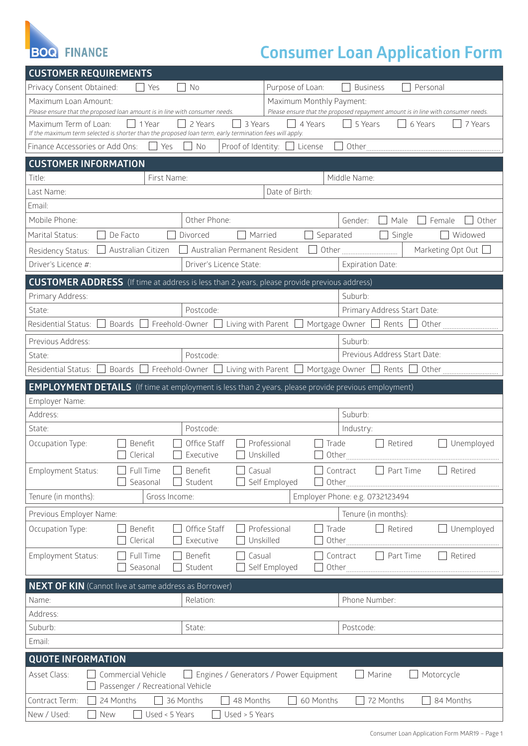

## **Consumer Loan Application Form**

| <b>CUSTOMER REQUIREMENTS</b>                                                                                                             |                       |                                        |                                    |                                                                                  |                     |  |
|------------------------------------------------------------------------------------------------------------------------------------------|-----------------------|----------------------------------------|------------------------------------|----------------------------------------------------------------------------------|---------------------|--|
| Privacy Consent Obtained:                                                                                                                | Yes                   | No                                     | Purpose of Loan:                   | <b>Business</b><br>Personal                                                      |                     |  |
| Maximum Loan Amount:                                                                                                                     |                       |                                        | Maximum Monthly Payment:           |                                                                                  |                     |  |
| Please ensure that the proposed loan amount is in line with consumer needs.                                                              |                       |                                        |                                    | Please ensure that the proposed repayment amount is in line with consumer needs. |                     |  |
| Maximum Term of Loan:<br>If the maximum term selected is shorter than the proposed loan term, early termination fees will apply.         | 1 Year                | 2 Years<br>3 Years                     | 4 Years                            | $\Box$ 5 Years<br>6 Years                                                        | 7 Years             |  |
| Finance Accessories or Add Ons:                                                                                                          | Yes                   | No                                     | Proof of Identity: □ License       |                                                                                  |                     |  |
| <b>CUSTOMER INFORMATION</b>                                                                                                              |                       |                                        |                                    |                                                                                  |                     |  |
| Title:                                                                                                                                   | First Name:           |                                        |                                    | Middle Name:                                                                     |                     |  |
| Last Name:                                                                                                                               |                       |                                        | Date of Birth:                     |                                                                                  |                     |  |
| Email:                                                                                                                                   |                       |                                        |                                    |                                                                                  |                     |  |
| Mobile Phone:                                                                                                                            |                       | Other Phone:                           |                                    | Male<br>Gender:                                                                  | Other<br>Female     |  |
| Marital Status:                                                                                                                          | De Facto              | Married<br>Divorced                    | Separated<br>$\blacksquare$        | $\Box$ Single                                                                    | Widowed             |  |
| Residency Status:                                                                                                                        | Australian Citizen    | Australian Permanent Resident          |                                    |                                                                                  | Marketing Opt Out [ |  |
| Driver's Licence #:                                                                                                                      |                       | Driver's Licence State:                |                                    | <b>Expiration Date:</b>                                                          |                     |  |
| <b>CUSTOMER ADDRESS</b> (If time at address is less than 2 years, please provide previous address)                                       |                       |                                        |                                    |                                                                                  |                     |  |
| Primary Address:                                                                                                                         |                       |                                        |                                    | Suburb:                                                                          |                     |  |
| State:                                                                                                                                   | Postcode:             |                                        |                                    | Primary Address Start Date:                                                      |                     |  |
| Residential Status:                                                                                                                      |                       |                                        |                                    | Boards □ Freehold-Owner □ Living with Parent □ Mortgage Owner □ Rents □ Other    |                     |  |
| Previous Address:                                                                                                                        |                       |                                        |                                    | Suburb:                                                                          |                     |  |
| State:                                                                                                                                   | Postcode:             |                                        |                                    | Previous Address Start Date:                                                     |                     |  |
| $\Box$ Boards $\Box$ Freehold-Owner $\Box$ Living with Parent $\Box$ Mortgage Owner $\Box$ Rents $\Box$ Other<br>Residential Status: [   |                       |                                        |                                    |                                                                                  |                     |  |
| <b>EMPLOYMENT DETAILS</b> (If time at employment is less than 2 years, please provide previous employment)                               |                       |                                        |                                    |                                                                                  |                     |  |
| Employer Name:                                                                                                                           |                       |                                        |                                    |                                                                                  |                     |  |
| Address:                                                                                                                                 |                       |                                        |                                    | Suburb:                                                                          |                     |  |
| State:                                                                                                                                   |                       | Postcode:                              |                                    | Industry:                                                                        |                     |  |
| Occupation Type:                                                                                                                         | Benefit<br>Clerical   | Office Staff<br>Unskilled<br>Executive | Professional<br>Trade              | Retired                                                                          | Unemployed          |  |
| Employment Status:                                                                                                                       | Full Time<br>Seasonal | Benefit<br>Casual<br>Student           | Self Employed<br>Other             | Part Time<br>Contract                                                            | Retired             |  |
| Tenure (in months):                                                                                                                      | Gross Income:         |                                        |                                    |                                                                                  |                     |  |
| Employer Phone: e.g. 0732123494                                                                                                          |                       |                                        |                                    |                                                                                  |                     |  |
| Previous Employer Name:                                                                                                                  |                       |                                        |                                    | Tenure (in months):                                                              |                     |  |
| Occupation Type:                                                                                                                         | Benefit<br>Clerical   | Office Staff<br>Executive              | Professional<br>Trade<br>Unskilled | $\Box$ Retired<br>Other                                                          | Unemployed          |  |
| <b>Employment Status:</b>                                                                                                                | Full Time<br>Seasonal | Benefit<br>Casual<br>Student           | Self Employed                      | Part Time<br>Contract<br>Other                                                   | Retired             |  |
|                                                                                                                                          |                       |                                        |                                    |                                                                                  |                     |  |
| <b>NEXT OF KIN</b> (Cannot live at same address as Borrower)                                                                             |                       |                                        |                                    |                                                                                  |                     |  |
| Name:                                                                                                                                    |                       | Relation:                              |                                    | Phone Number:                                                                    |                     |  |
| Address:                                                                                                                                 |                       |                                        |                                    |                                                                                  |                     |  |
| Suburb:<br>Email:                                                                                                                        |                       | State:                                 |                                    | Postcode:                                                                        |                     |  |
|                                                                                                                                          |                       |                                        |                                    |                                                                                  |                     |  |
| <b>QUOTE INFORMATION</b>                                                                                                                 |                       |                                        |                                    |                                                                                  |                     |  |
| Asset Class:<br>Commercial Vehicle<br>Engines / Generators / Power Equipment<br>Motorcycle<br>Marine<br>Passenger / Recreational Vehicle |                       |                                        |                                    |                                                                                  |                     |  |
| Contract Term:<br>24 Months                                                                                                              | 36 Months             | 48 Months                              | 60 Months                          | 72 Months                                                                        | 84 Months           |  |
| New / Used:<br>Used < 5 Years<br>Used > 5 Years<br>New                                                                                   |                       |                                        |                                    |                                                                                  |                     |  |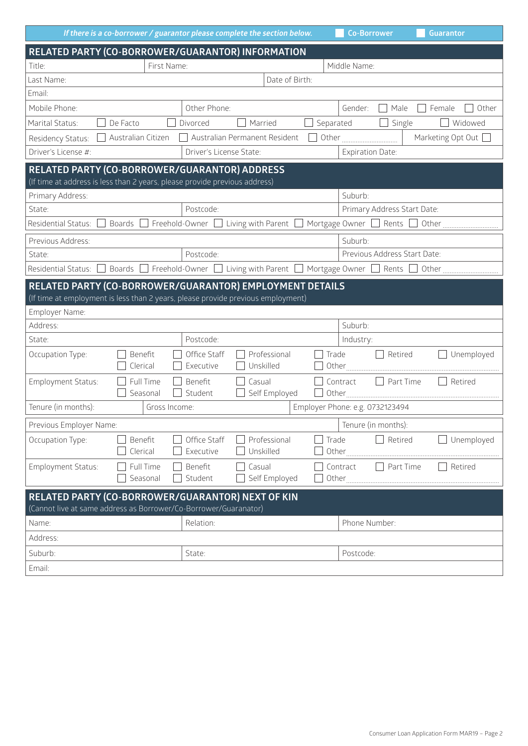|                                                                                                                                              |                                                | If there is a co-borrower / guarantor please complete the section below. |                | <b>Co-Borrower</b>              | <b>Guarantor</b>         |
|----------------------------------------------------------------------------------------------------------------------------------------------|------------------------------------------------|--------------------------------------------------------------------------|----------------|---------------------------------|--------------------------|
|                                                                                                                                              |                                                | RELATED PARTY (CO-BORROWER/GUARANTOR) INFORMATION                        |                |                                 |                          |
| Title:                                                                                                                                       | First Name:                                    |                                                                          |                | Middle Name:                    |                          |
| Last Name:                                                                                                                                   |                                                | Date of Birth:                                                           |                |                                 |                          |
| Email:                                                                                                                                       |                                                |                                                                          |                |                                 |                          |
| Mobile Phone:                                                                                                                                |                                                | Other Phone:                                                             |                | Gender:<br>Male                 | $\Box$ Female<br>Other   |
| Marital Status:                                                                                                                              | De Facto<br>Divorced                           | Married                                                                  | Separated      | Single<br>$\Box$                | Widowed                  |
| Residency Status:                                                                                                                            | Australian Citizen                             | Australian Permanent Resident                                            |                | Other <u></u>                   | Marketing Opt Out $\Box$ |
| Driver's License #:                                                                                                                          |                                                | Driver's License State:                                                  |                | <b>Expiration Date:</b>         |                          |
| RELATED PARTY (CO-BORROWER/GUARANTOR) ADDRESS<br>(If time at address is less than 2 years, please provide previous address)                  |                                                |                                                                          |                |                                 |                          |
| Primary Address:                                                                                                                             |                                                |                                                                          |                | Suburb:                         |                          |
| State:                                                                                                                                       |                                                | Postcode:                                                                |                | Primary Address Start Date:     |                          |
|                                                                                                                                              |                                                |                                                                          |                |                                 |                          |
| Previous Address:                                                                                                                            |                                                |                                                                          |                | Suburb:                         |                          |
| State:                                                                                                                                       |                                                | Postcode:                                                                |                | Previous Address Start Date:    |                          |
|                                                                                                                                              |                                                |                                                                          |                |                                 |                          |
| RELATED PARTY (CO-BORROWER/GUARANTOR) EMPLOYMENT DETAILS<br>(If time at employment is less than 2 years, please provide previous employment) |                                                |                                                                          |                |                                 |                          |
| Employer Name:                                                                                                                               |                                                |                                                                          |                |                                 |                          |
| Address:                                                                                                                                     |                                                |                                                                          |                | Suburb:                         |                          |
| State:                                                                                                                                       |                                                | Postcode:                                                                |                | Industry:                       |                          |
| Occupation Type:                                                                                                                             | Benefit<br>Clerical                            | Office Staff<br>Professional<br>Unskilled<br>Executive                   | Trade          | Retired<br>$\mathcal{L}$        | Unemployed               |
| Employment Status:                                                                                                                           | Full Time<br>Seasonal                          | Benefit<br>Casual<br>Student<br>Self Employed                            |                | Contract<br>Part Time           | Retired                  |
| Tenure (in months):                                                                                                                          | Gross Income:                                  |                                                                          |                | Employer Phone: e.g. 0732123494 |                          |
|                                                                                                                                              | Tenure (in months):<br>Previous Employer Name: |                                                                          |                |                                 |                          |
| Occupation Type:                                                                                                                             | Benefit<br>Clerical                            | Office Staff<br>Professional<br>Executive<br>Unskilled                   | Trade<br>Other | Retired                         | Unemployed               |
| <b>Employment Status:</b>                                                                                                                    | Full Time<br>Seasonal                          | Benefit<br>Casual<br>Student<br>Self Employed                            | Other          | Contract<br>Part Time           | Retired                  |
| RELATED PARTY (CO-BORROWER/GUARANTOR) NEXT OF KIN<br>(Cannot live at same address as Borrower/Co-Borrower/Guaranator)                        |                                                |                                                                          |                |                                 |                          |
| Name:                                                                                                                                        |                                                | Relation:                                                                |                | Phone Number:                   |                          |
| Address:                                                                                                                                     |                                                |                                                                          |                |                                 |                          |
| Suburb:                                                                                                                                      | State:                                         |                                                                          |                | Postcode:                       |                          |
| Email:                                                                                                                                       |                                                |                                                                          |                |                                 |                          |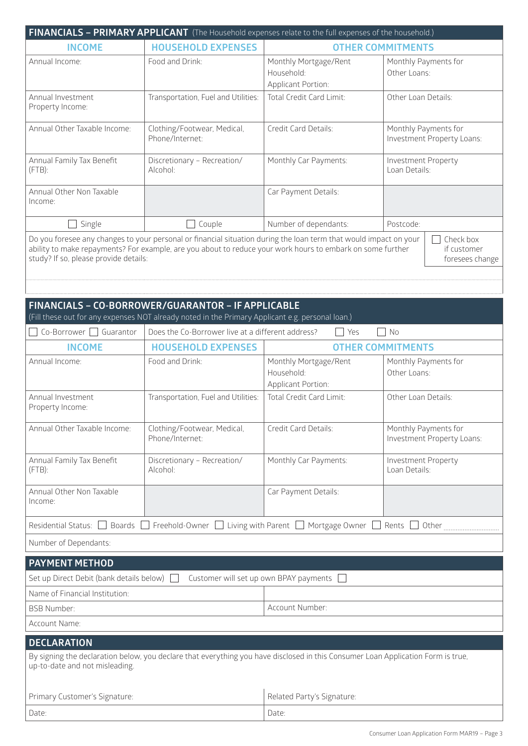|                                                                                                                                                                                                                                                                                                                         |                                                                                                                                                        | FINANCIALS - PRIMARY APPLICANT (The Household expenses relate to the full expenses of the household.)                                    |                                                    |  |  |
|-------------------------------------------------------------------------------------------------------------------------------------------------------------------------------------------------------------------------------------------------------------------------------------------------------------------------|--------------------------------------------------------------------------------------------------------------------------------------------------------|------------------------------------------------------------------------------------------------------------------------------------------|----------------------------------------------------|--|--|
| <b>INCOME</b>                                                                                                                                                                                                                                                                                                           | <b>HOUSEHOLD EXPENSES</b>                                                                                                                              |                                                                                                                                          | <b>OTHER COMMITMENTS</b>                           |  |  |
| Annual Income:                                                                                                                                                                                                                                                                                                          | Food and Drink:                                                                                                                                        | Monthly Mortgage/Rent<br>Household:                                                                                                      | Monthly Payments for<br>Other Loans:               |  |  |
|                                                                                                                                                                                                                                                                                                                         |                                                                                                                                                        | Applicant Portion:                                                                                                                       |                                                    |  |  |
| Annual Investment<br>Property Income:                                                                                                                                                                                                                                                                                   | Transportation, Fuel and Utilities:                                                                                                                    | Total Credit Card Limit:                                                                                                                 | Other Loan Details:                                |  |  |
| Annual Other Taxable Income:                                                                                                                                                                                                                                                                                            | Clothing/Footwear, Medical,<br>Phone/Internet:                                                                                                         | Credit Card Details:                                                                                                                     | Monthly Payments for<br>Investment Property Loans: |  |  |
| Annual Family Tax Benefit<br>$(FTB)$ :                                                                                                                                                                                                                                                                                  | Discretionary - Recreation/<br>Alcohol:                                                                                                                | Monthly Car Payments:                                                                                                                    | Investment Property<br>Loan Details:               |  |  |
| Annual Other Non Taxable<br>Income:                                                                                                                                                                                                                                                                                     |                                                                                                                                                        | Car Payment Details:                                                                                                                     |                                                    |  |  |
| Single                                                                                                                                                                                                                                                                                                                  | $\Box$ Couple                                                                                                                                          | Number of dependants:                                                                                                                    | Postcode:                                          |  |  |
| Do you foresee any changes to your personal or financial situation during the loan term that would impact on your<br>Check box<br>ability to make repayments? For example, are you about to reduce your work hours to embark on some further<br>if customer<br>study? If so, please provide details:<br>foresees change |                                                                                                                                                        |                                                                                                                                          |                                                    |  |  |
|                                                                                                                                                                                                                                                                                                                         | FINANCIALS - CO-BORROWER/GUARANTOR - IF APPLICABLE<br>(Fill these out for any expenses NOT already noted in the Primary Applicant e.g. personal loan.) |                                                                                                                                          |                                                    |  |  |
| $Co-Borrower$ Guarantor                                                                                                                                                                                                                                                                                                 | Does the Co-Borrower live at a different address?                                                                                                      | Yes<br>$\Box$                                                                                                                            | No                                                 |  |  |
| <b>INCOME</b>                                                                                                                                                                                                                                                                                                           | <b>HOUSEHOLD EXPENSES</b>                                                                                                                              |                                                                                                                                          | <b>OTHER COMMITMENTS</b>                           |  |  |
| Annual Income:                                                                                                                                                                                                                                                                                                          | Food and Drink:                                                                                                                                        | Monthly Mortgage/Rent                                                                                                                    | Monthly Payments for                               |  |  |
|                                                                                                                                                                                                                                                                                                                         |                                                                                                                                                        | Household:<br>Applicant Portion:                                                                                                         | Other Loans:                                       |  |  |
| Annual Investment<br>Property Income:                                                                                                                                                                                                                                                                                   | Transportation, Fuel and Utilities:                                                                                                                    | Total Credit Card Limit:                                                                                                                 | Other Loan Details:                                |  |  |
| Annual Other Taxable Income:                                                                                                                                                                                                                                                                                            | Clothing/Footwear, Medical,<br>Phone/Internet:                                                                                                         | Credit Card Details:                                                                                                                     | Monthly Payments for<br>Investment Property Loans: |  |  |
| Annual Family Tax Benefit<br>$(FTB)$ :                                                                                                                                                                                                                                                                                  | Discretionary - Recreation/<br>Alcohol:                                                                                                                | Monthly Car Payments:                                                                                                                    | Investment Property<br>Loan Details:               |  |  |
| Annual Other Non Taxable<br>Income:                                                                                                                                                                                                                                                                                     |                                                                                                                                                        | Car Payment Details:                                                                                                                     |                                                    |  |  |
|                                                                                                                                                                                                                                                                                                                         |                                                                                                                                                        | Residential Status: $\Box$ Boards $\Box$ Freehold-Owner $\Box$ Living with Parent $\Box$ Mortgage Owner $\Box$ Rents $\Box$ Other $\Box$ |                                                    |  |  |
| Number of Dependants:                                                                                                                                                                                                                                                                                                   |                                                                                                                                                        |                                                                                                                                          |                                                    |  |  |
| <b>PAYMENT METHOD</b>                                                                                                                                                                                                                                                                                                   |                                                                                                                                                        |                                                                                                                                          |                                                    |  |  |
| Customer will set up own BPAY payments<br>Set up Direct Debit (bank details below)                                                                                                                                                                                                                                      |                                                                                                                                                        |                                                                                                                                          |                                                    |  |  |
| Name of Financial Institution:                                                                                                                                                                                                                                                                                          |                                                                                                                                                        |                                                                                                                                          |                                                    |  |  |
| <b>BSB Number:</b>                                                                                                                                                                                                                                                                                                      |                                                                                                                                                        | Account Number:                                                                                                                          |                                                    |  |  |
| Account Name:                                                                                                                                                                                                                                                                                                           |                                                                                                                                                        |                                                                                                                                          |                                                    |  |  |
| <b>DECLARATION</b>                                                                                                                                                                                                                                                                                                      |                                                                                                                                                        |                                                                                                                                          |                                                    |  |  |
| By signing the declaration below, you declare that everything you have disclosed in this Consumer Loan Application Form is true,<br>up-to-date and not misleading.                                                                                                                                                      |                                                                                                                                                        |                                                                                                                                          |                                                    |  |  |
| Primary Customer's Signature:                                                                                                                                                                                                                                                                                           |                                                                                                                                                        | Related Party's Signature:                                                                                                               |                                                    |  |  |
| Date:                                                                                                                                                                                                                                                                                                                   |                                                                                                                                                        | Date:                                                                                                                                    |                                                    |  |  |